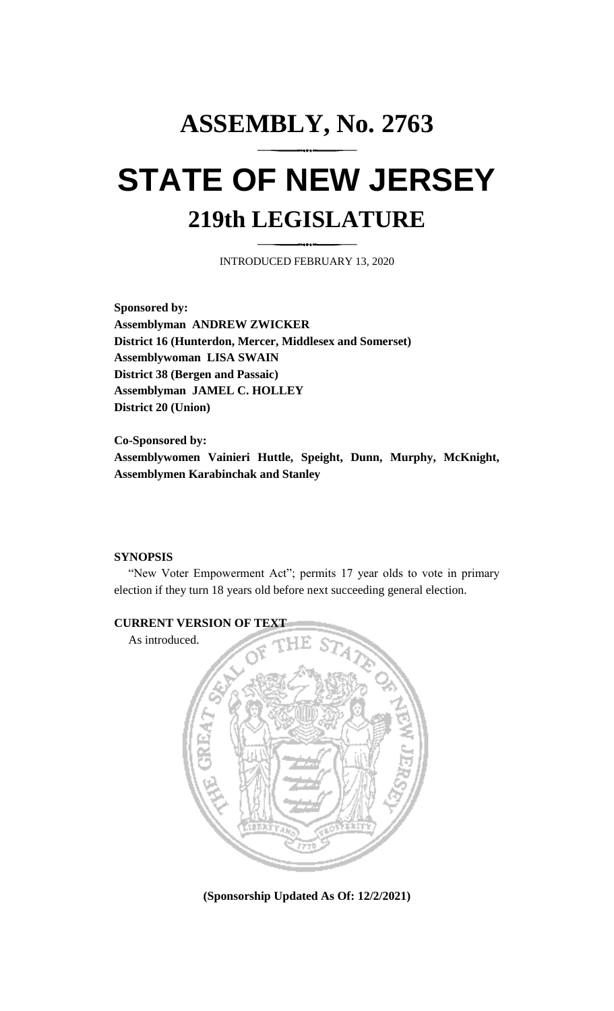## **ASSEMBLY, No. 2763 STATE OF NEW JERSEY 219th LEGISLATURE**

INTRODUCED FEBRUARY 13, 2020

**Sponsored by: Assemblyman ANDREW ZWICKER District 16 (Hunterdon, Mercer, Middlesex and Somerset) Assemblywoman LISA SWAIN District 38 (Bergen and Passaic) Assemblyman JAMEL C. HOLLEY District 20 (Union)**

**Co-Sponsored by: Assemblywomen Vainieri Huttle, Speight, Dunn, Murphy, McKnight, Assemblymen Karabinchak and Stanley**

## **SYNOPSIS**

"New Voter Empowerment Act"; permits 17 year olds to vote in primary election if they turn 18 years old before next succeeding general election.



**(Sponsorship Updated As Of: 12/2/2021)**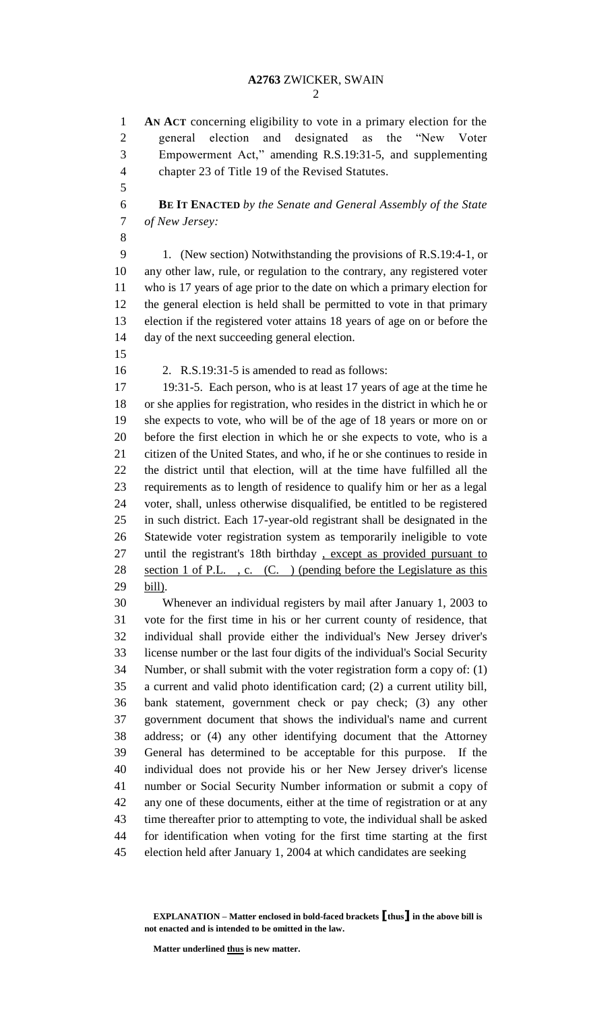**AN ACT** concerning eligibility to vote in a primary election for the general election and designated as the "New Voter Empowerment Act," amending R.S.19:31-5, and supplementing chapter 23 of Title 19 of the Revised Statutes.

 **BE IT ENACTED** *by the Senate and General Assembly of the State of New Jersey:*

 1. (New section) Notwithstanding the provisions of R.S.19:4-1, or any other law, rule, or regulation to the contrary, any registered voter who is 17 years of age prior to the date on which a primary election for the general election is held shall be permitted to vote in that primary election if the registered voter attains 18 years of age on or before the day of the next succeeding general election.

2. R.S.19:31-5 is amended to read as follows:

 19:31-5. Each person, who is at least 17 years of age at the time he or she applies for registration, who resides in the district in which he or she expects to vote, who will be of the age of 18 years or more on or before the first election in which he or she expects to vote, who is a citizen of the United States, and who, if he or she continues to reside in the district until that election, will at the time have fulfilled all the requirements as to length of residence to qualify him or her as a legal voter, shall, unless otherwise disqualified, be entitled to be registered in such district. Each 17-year-old registrant shall be designated in the Statewide voter registration system as temporarily ineligible to vote until the registrant's 18th birthday , except as provided pursuant to 28 section 1 of P.L., c. (C.) (pending before the Legislature as this bill).

 Whenever an individual registers by mail after January 1, 2003 to vote for the first time in his or her current county of residence, that individual shall provide either the individual's New Jersey driver's license number or the last four digits of the individual's Social Security Number, or shall submit with the voter registration form a copy of: (1) a current and valid photo identification card; (2) a current utility bill, bank statement, government check or pay check; (3) any other government document that shows the individual's name and current address; or (4) any other identifying document that the Attorney General has determined to be acceptable for this purpose. If the individual does not provide his or her New Jersey driver's license number or Social Security Number information or submit a copy of any one of these documents, either at the time of registration or at any time thereafter prior to attempting to vote, the individual shall be asked for identification when voting for the first time starting at the first election held after January 1, 2004 at which candidates are seeking

**Matter underlined thus is new matter.**